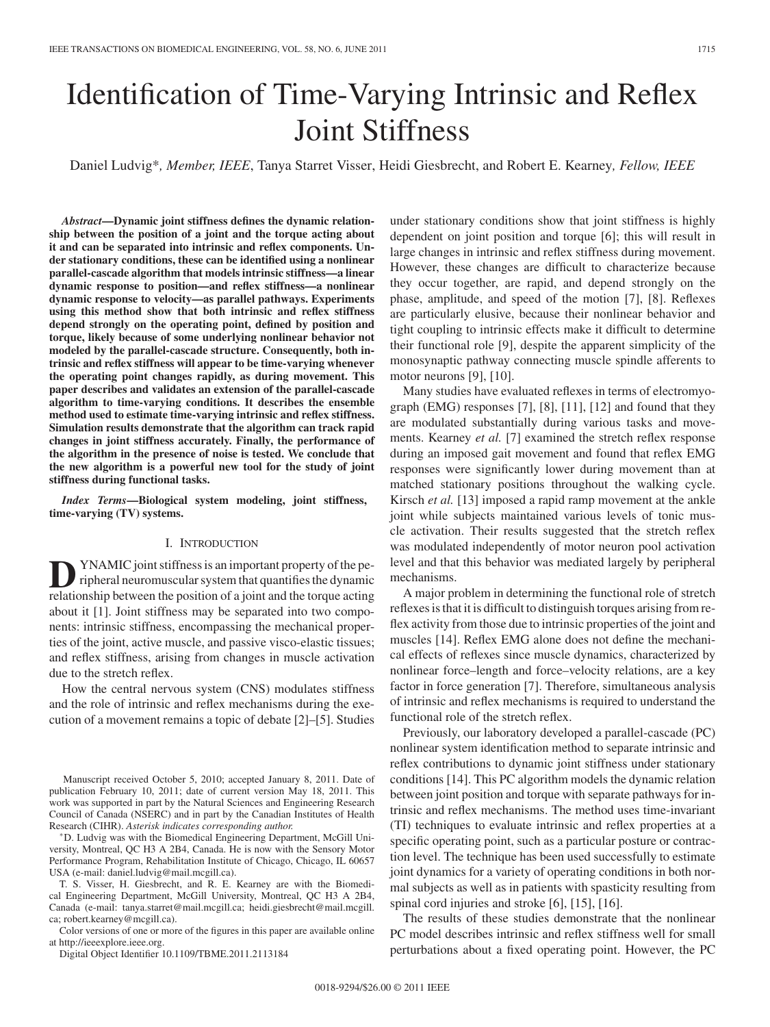# Identification of Time-Varying Intrinsic and Reflex Joint Stiffness

Daniel Ludvig\**, Member, IEEE*, Tanya Starret Visser, Heidi Giesbrecht, and Robert E. Kearney*, Fellow, IEEE*

*Abstract***—Dynamic joint stiffness defines the dynamic relationship between the position of a joint and the torque acting about it and can be separated into intrinsic and reflex components. Under stationary conditions, these can be identified using a nonlinear parallel-cascade algorithm that models intrinsic stiffness—a linear dynamic response to position—and reflex stiffness—a nonlinear dynamic response to velocity—as parallel pathways. Experiments using this method show that both intrinsic and reflex stiffness depend strongly on the operating point, defined by position and torque, likely because of some underlying nonlinear behavior not modeled by the parallel-cascade structure. Consequently, both intrinsic and reflex stiffness will appear to be time-varying whenever the operating point changes rapidly, as during movement. This paper describes and validates an extension of the parallel-cascade algorithm to time-varying conditions. It describes the ensemble method used to estimate time-varying intrinsic and reflex stiffness. Simulation results demonstrate that the algorithm can track rapid changes in joint stiffness accurately. Finally, the performance of the algorithm in the presence of noise is tested. We conclude that the new algorithm is a powerful new tool for the study of joint stiffness during functional tasks.**

*Index Terms***—Biological system modeling, joint stiffness, time-varying (TV) systems.**

#### I. INTRODUCTION

**D**YNAMIC joint stiffness is an important property of the pe-<br>ripheral neuromuscular system that quantifies the dynamic<br>relationship between the position of a joint and the torque acting relationship between the position of a joint and the torque acting about it [1]. Joint stiffness may be separated into two components: intrinsic stiffness, encompassing the mechanical properties of the joint, active muscle, and passive visco-elastic tissues; and reflex stiffness, arising from changes in muscle activation due to the stretch reflex.

How the central nervous system (CNS) modulates stiffness and the role of intrinsic and reflex mechanisms during the execution of a movement remains a topic of debate [2]–[5]. Studies

Manuscript received October 5, 2010; accepted January 8, 2011. Date of publication February 10, 2011; date of current version May 18, 2011. This work was supported in part by the Natural Sciences and Engineering Research Council of Canada (NSERC) and in part by the Canadian Institutes of Health Research (CIHR). *Asterisk indicates corresponding author.* <sup>∗</sup>D. Ludvig was with the Biomedical Engineering Department, McGill Uni-

versity, Montreal, QC H3 A 2B4, Canada. He is now with the Sensory Motor Performance Program, Rehabilitation Institute of Chicago, Chicago, IL 60657 USA (e-mail: daniel.ludvig@mail.mcgill.ca).

T. S. Visser, H. Giesbrecht, and R. E. Kearney are with the Biomedical Engineering Department, McGill University, Montreal, QC H3 A 2B4, Canada (e-mail: tanya.starret@mail.mcgill.ca; heidi.giesbrecht@mail.mcgill. ca; robert.kearney@mcgill.ca).

Color versions of one or more of the figures in this paper are available online at http://ieeexplore.ieee.org.

Digital Object Identifier 10.1109/TBME.2011.2113184

under stationary conditions show that joint stiffness is highly dependent on joint position and torque [6]; this will result in large changes in intrinsic and reflex stiffness during movement. However, these changes are difficult to characterize because they occur together, are rapid, and depend strongly on the phase, amplitude, and speed of the motion [7], [8]. Reflexes are particularly elusive, because their nonlinear behavior and tight coupling to intrinsic effects make it difficult to determine their functional role [9], despite the apparent simplicity of the monosynaptic pathway connecting muscle spindle afferents to motor neurons [9], [10].

Many studies have evaluated reflexes in terms of electromyograph (EMG) responses [7], [8], [11], [12] and found that they are modulated substantially during various tasks and movements. Kearney *et al.* [7] examined the stretch reflex response during an imposed gait movement and found that reflex EMG responses were significantly lower during movement than at matched stationary positions throughout the walking cycle. Kirsch *et al.* [13] imposed a rapid ramp movement at the ankle joint while subjects maintained various levels of tonic muscle activation. Their results suggested that the stretch reflex was modulated independently of motor neuron pool activation level and that this behavior was mediated largely by peripheral mechanisms.

A major problem in determining the functional role of stretch reflexes is that it is difficult to distinguish torques arising from reflex activity from those due to intrinsic properties of the joint and muscles [14]. Reflex EMG alone does not define the mechanical effects of reflexes since muscle dynamics, characterized by nonlinear force–length and force–velocity relations, are a key factor in force generation [7]. Therefore, simultaneous analysis of intrinsic and reflex mechanisms is required to understand the functional role of the stretch reflex.

Previously, our laboratory developed a parallel-cascade (PC) nonlinear system identification method to separate intrinsic and reflex contributions to dynamic joint stiffness under stationary conditions [14]. This PC algorithm models the dynamic relation between joint position and torque with separate pathways for intrinsic and reflex mechanisms. The method uses time-invariant (TI) techniques to evaluate intrinsic and reflex properties at a specific operating point, such as a particular posture or contraction level. The technique has been used successfully to estimate joint dynamics for a variety of operating conditions in both normal subjects as well as in patients with spasticity resulting from spinal cord injuries and stroke [6], [15], [16].

The results of these studies demonstrate that the nonlinear PC model describes intrinsic and reflex stiffness well for small perturbations about a fixed operating point. However, the PC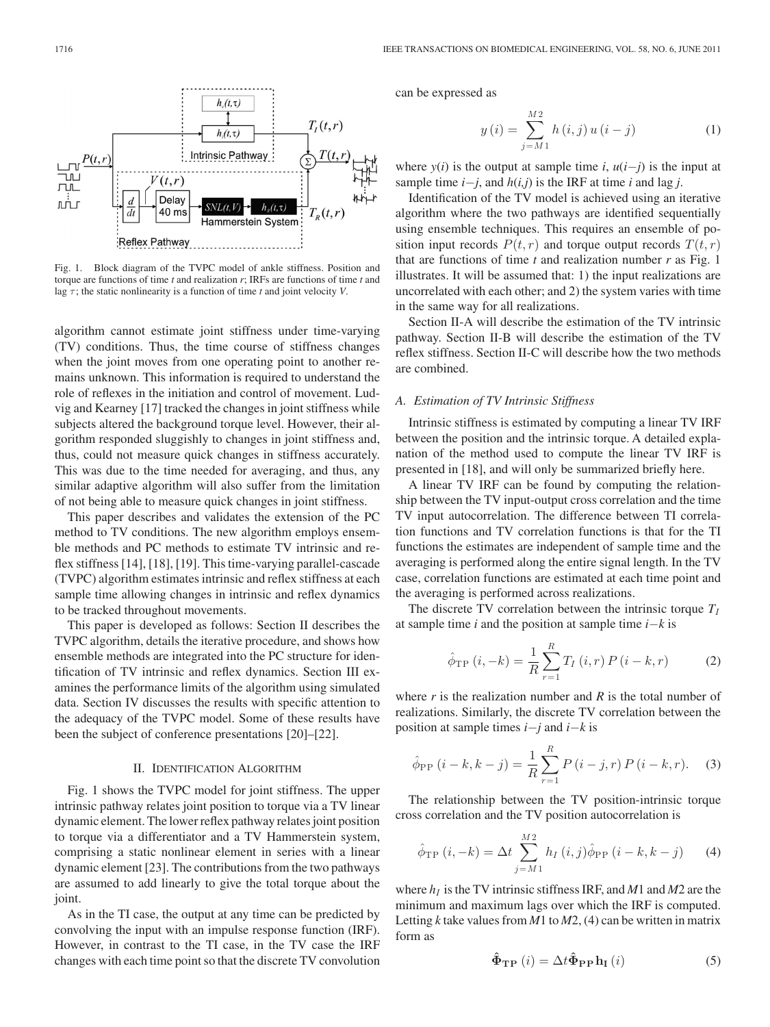

Fig. 1. Block diagram of the TVPC model of ankle stiffness. Position and torque are functions of time *t* and realization *r*; IRFs are functions of time *t* and lag  $\tau$ ; the static nonlinearity is a function of time *t* and joint velocity *V*.

algorithm cannot estimate joint stiffness under time-varying (TV) conditions. Thus, the time course of stiffness changes when the joint moves from one operating point to another remains unknown. This information is required to understand the role of reflexes in the initiation and control of movement. Ludvig and Kearney [17] tracked the changes in joint stiffness while subjects altered the background torque level. However, their algorithm responded sluggishly to changes in joint stiffness and, thus, could not measure quick changes in stiffness accurately. This was due to the time needed for averaging, and thus, any similar adaptive algorithm will also suffer from the limitation of not being able to measure quick changes in joint stiffness.

This paper describes and validates the extension of the PC method to TV conditions. The new algorithm employs ensemble methods and PC methods to estimate TV intrinsic and reflex stiffness [14], [18], [19]. This time-varying parallel-cascade (TVPC) algorithm estimates intrinsic and reflex stiffness at each sample time allowing changes in intrinsic and reflex dynamics to be tracked throughout movements.

This paper is developed as follows: Section II describes the TVPC algorithm, details the iterative procedure, and shows how ensemble methods are integrated into the PC structure for identification of TV intrinsic and reflex dynamics. Section III examines the performance limits of the algorithm using simulated data. Section IV discusses the results with specific attention to the adequacy of the TVPC model. Some of these results have been the subject of conference presentations [20]–[22].

## II. IDENTIFICATION ALGORITHM

Fig. 1 shows the TVPC model for joint stiffness. The upper intrinsic pathway relates joint position to torque via a TV linear dynamic element. The lower reflex pathway relates joint position to torque via a differentiator and a TV Hammerstein system, comprising a static nonlinear element in series with a linear dynamic element [23]. The contributions from the two pathways are assumed to add linearly to give the total torque about the joint.

As in the TI case, the output at any time can be predicted by convolving the input with an impulse response function (IRF). However, in contrast to the TI case, in the TV case the IRF changes with each time point so that the discrete TV convolution

can be expressed as

$$
y(i) = \sum_{j=M1}^{M2} h(i,j) u(i-j)
$$
 (1)

where  $y(i)$  is the output at sample time *i*,  $u(i-j)$  is the input at sample time  $i−j$ , and  $h(i,j)$  is the IRF at time  $i$  and lag  $j$ .

Identification of the TV model is achieved using an iterative algorithm where the two pathways are identified sequentially using ensemble techniques. This requires an ensemble of position input records  $P(t, r)$  and torque output records  $T(t, r)$ that are functions of time *t* and realization number *r* as Fig. 1 illustrates. It will be assumed that: 1) the input realizations are uncorrelated with each other; and 2) the system varies with time in the same way for all realizations.

Section II-A will describe the estimation of the TV intrinsic pathway. Section II-B will describe the estimation of the TV reflex stiffness. Section II-C will describe how the two methods are combined.

# *A. Estimation of TV Intrinsic Stiffness*

Intrinsic stiffness is estimated by computing a linear TV IRF between the position and the intrinsic torque. A detailed explanation of the method used to compute the linear TV IRF is presented in [18], and will only be summarized briefly here.

A linear TV IRF can be found by computing the relationship between the TV input-output cross correlation and the time TV input autocorrelation. The difference between TI correlation functions and TV correlation functions is that for the TI functions the estimates are independent of sample time and the averaging is performed along the entire signal length. In the TV case, correlation functions are estimated at each time point and the averaging is performed across realizations.

The discrete TV correlation between the intrinsic torque  $T_I$ at sample time *i* and the position at sample time *i*−*k* is

$$
\hat{\phi}_{\rm TP} (i, -k) = \frac{1}{R} \sum_{r=1}^{R} T_I(i, r) P(i - k, r)
$$
 (2)

where  $r$  is the realization number and  $R$  is the total number of realizations. Similarly, the discrete TV correlation between the position at sample times *i*−*j* and *i*−*k* is

$$
\hat{\phi}_{\rm PP} (i - k, k - j) = \frac{1}{R} \sum_{r=1}^{R} P(i - j, r) P(i - k, r).
$$
 (3)

The relationship between the TV position-intrinsic torque cross correlation and the TV position autocorrelation is

$$
\hat{\phi}_{\rm TP} (i, -k) = \Delta t \sum_{j=M1}^{M2} h_I(i, j) \hat{\phi}_{\rm PP} (i - k, k - j) \tag{4}
$$

where  $h_I$  is the TV intrinsic stiffness IRF, and  $M1$  and  $M2$  are the minimum and maximum lags over which the IRF is computed. Letting *k* take values from *M*1 to *M*2, (4) can be written in matrix form as

$$
\hat{\Phi}_{\rm TP} (i) = \Delta t \hat{\Phi}_{\rm PP} \mathbf{h}_{\rm I} (i) \tag{5}
$$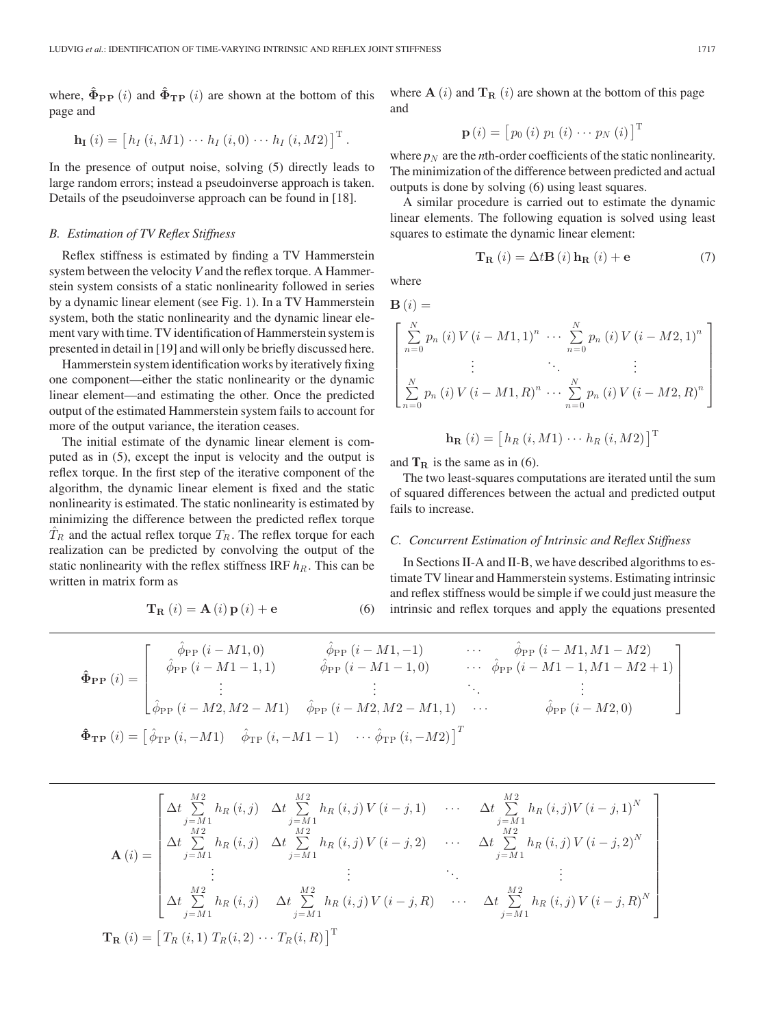where,  $\hat{\Phi}_{\text{PP}}(i)$  and  $\hat{\Phi}_{\text{TP}}(i)$  are shown at the bottom of this page and

$$
\mathbf{h}_{\mathrm{I}}\left(i\right) = \left[h_{I}\left(i,M1\right)\cdots h_{I}\left(i,0\right)\cdots h_{I}\left(i,M2\right)\right]^{\mathrm{T}}.
$$

In the presence of output noise, solving (5) directly leads to large random errors; instead a pseudoinverse approach is taken. Details of the pseudoinverse approach can be found in [18].

## *B. Estimation of TV Reflex Stiffness*

Reflex stiffness is estimated by finding a TV Hammerstein system between the velocity *V* and the reflex torque. A Hammerstein system consists of a static nonlinearity followed in series by a dynamic linear element (see Fig. 1). In a TV Hammerstein system, both the static nonlinearity and the dynamic linear element vary with time. TV identification of Hammerstein system is presented in detail in [19] and will only be briefly discussed here.

Hammerstein system identification works by iteratively fixing one component—either the static nonlinearity or the dynamic linear element—and estimating the other. Once the predicted output of the estimated Hammerstein system fails to account for more of the output variance, the iteration ceases.

The initial estimate of the dynamic linear element is computed as in (5), except the input is velocity and the output is reflex torque. In the first step of the iterative component of the algorithm, the dynamic linear element is fixed and the static nonlinearity is estimated. The static nonlinearity is estimated by minimizing the difference between the predicted reflex torque  $\hat{T}_R$  and the actual reflex torque  $T_R$ . The reflex torque for each realization can be predicted by convolving the output of the static nonlinearity with the reflex stiffness IRF  $h<sub>R</sub>$ . This can be written in matrix form as

$$
\mathbf{T}_{\mathbf{R}}\left(i\right) = \mathbf{A}\left(i\right)\mathbf{p}\left(i\right) + \mathbf{e}
$$
 (6)

where  $\mathbf{A}(i)$  and  $\mathbf{T_R}(i)$  are shown at the bottom of this page and

$$
\mathbf{p}\left(i\right)=\bigl[\,p_{0}\left(i\right)\,p_{1}\left(i\right)\,\cdots\,p_{N}\left(i\right)\,\bigr]^{\mathrm{T}}
$$

where  $p_N$  are the *n*th-order coefficients of the static nonlinearity. The minimization of the difference between predicted and actual outputs is done by solving (6) using least squares.

A similar procedure is carried out to estimate the dynamic linear elements. The following equation is solved using least squares to estimate the dynamic linear element:

$$
\mathbf{T}_{\mathbf{R}}\left(i\right) = \Delta t \mathbf{B}\left(i\right) \mathbf{h}_{\mathbf{R}}\left(i\right) + \mathbf{e}
$$
\n(7)

where

 $\mathbf{B}(i) =$ 

$$
\begin{bmatrix}\n\sum_{n=0}^{N} p_n (i) V (i - M1, 1)^n & \cdots & \sum_{n=0}^{N} p_n (i) V (i - M2, 1)^n \\
\vdots & \ddots & \vdots \\
\sum_{n=0}^{N} p_n (i) V (i - M1, R)^n & \cdots & \sum_{n=0}^{N} p_n (i) V (i - M2, R)^n\n\end{bmatrix}
$$

$$
\mathbf{h}_{\mathbf{R}}\left(i\right) = \left[\,h_R\left(i,M1\right)\,\cdots\,h_R\left(i,M2\right)\,\right]^{\mathrm{T}}
$$

and  $T_R$  is the same as in (6).

The two least-squares computations are iterated until the sum of squared differences between the actual and predicted output fails to increase.

## *C. Concurrent Estimation of Intrinsic and Reflex Stiffness*

In Sections II-A and II-B, we have described algorithms to estimate TV linear and Hammerstein systems. Estimating intrinsic and reflex stiffness would be simple if we could just measure the intrinsic and reflex torques and apply the equations presented

$$
\hat{\Phi}_{\text{PP}}(i) = \begin{bmatrix}\n\hat{\phi}_{\text{PP}}(i - M1, 0) & \hat{\phi}_{\text{PP}}(i - M1, -1) & \cdots & \hat{\phi}_{\text{PP}}(i - M1, M1 - M2) \\
\hat{\phi}_{\text{PP}}(i - M1 - 1, 1) & \hat{\phi}_{\text{PP}}(i - M1 - 1, 0) & \cdots & \hat{\phi}_{\text{PP}}(i - M1 - 1, M1 - M2 + 1) \\
\vdots & \vdots & \ddots & \vdots \\
\hat{\phi}_{\text{PP}}(i - M2, M2 - M1) & \hat{\phi}_{\text{PP}}(i - M2, M2 - M1, 1) & \cdots & \hat{\phi}_{\text{PP}}(i - M2, 0)\n\end{bmatrix}
$$
\n
$$
\hat{\Phi}_{\text{TP}}(i) = \begin{bmatrix}\n\hat{\phi}_{\text{TP}}(i, -M1) & \hat{\phi}_{\text{TP}}(i, -M1 - 1) & \cdots & \hat{\phi}_{\text{TP}}(i, -M2)\n\end{bmatrix}^T
$$

$$
\mathbf{A}(i) = \begin{bmatrix}\n\Delta t \sum_{j=M1}^{M2} h_R(i,j) & \Delta t \sum_{j=M1}^{M2} h_R(i,j) V(i-j,1) & \cdots & \Delta t \sum_{j=M1}^{M2} h_R(i,j) V(i-j,1)^N \\
\Delta t \sum_{j=M1}^{M2} h_R(i,j) & \Delta t \sum_{j=M1}^{M2} h_R(i,j) V(i-j,2) & \cdots & \Delta t \sum_{j=M1}^{M2} h_R(i,j) V(i-j,2)^N \\
\vdots & \vdots & \ddots & \vdots \\
\Delta t \sum_{j=M1}^{M2} h_R(i,j) & \Delta t \sum_{j=M1}^{M2} h_R(i,j) V(i-j,R) & \cdots & \Delta t \sum_{j=M1}^{M2} h_R(i,j) V(i-j,R)^N\n\end{bmatrix}
$$
\n
$$
\mathbf{T}_{\mathbf{R}}(i) = \begin{bmatrix} T_R(i,1) T_R(i,2) \cdots T_R(i,R) \end{bmatrix
$$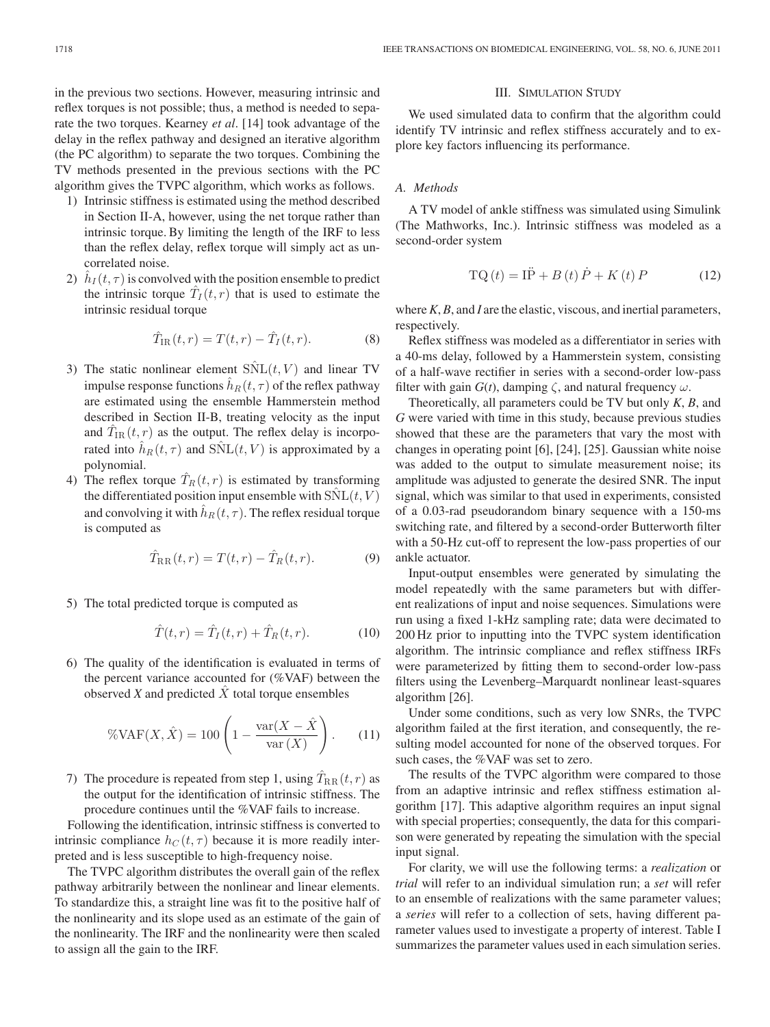in the previous two sections. However, measuring intrinsic and reflex torques is not possible; thus, a method is needed to separate the two torques. Kearney *et al*. [14] took advantage of the delay in the reflex pathway and designed an iterative algorithm (the PC algorithm) to separate the two torques. Combining the TV methods presented in the previous sections with the PC algorithm gives the TVPC algorithm, which works as follows.

- 1) Intrinsic stiffness is estimated using the method described in Section II-A, however, using the net torque rather than intrinsic torque. By limiting the length of the IRF to less than the reflex delay, reflex torque will simply act as uncorrelated noise.
- 2)  $h_I(t, \tau)$  is convolved with the position ensemble to predict the intrinsic torque  $\hat{T}_I(t,r)$  that is used to estimate the intrinsic residual torque

$$
\hat{T}_{IR}(t,r) = T(t,r) - \hat{T}_I(t,r).
$$
 (8)

- 3) The static nonlinear element  $SNL(t, V)$  and linear TV impulse response functions  $\hat{h}_R(t,\tau)$  of the reflex pathway are estimated using the ensemble Hammerstein method described in Section II-B, treating velocity as the input and  $\hat{T}_{IR}(t,r)$  as the output. The reflex delay is incorporated into  $\hat{h}_R(t,\tau)$  and  $S\hat{N}L(t,V)$  is approximated by a polynomial.
- 4) The reflex torque  $\hat{T}_R(t,r)$  is estimated by transforming the differentiated position input ensemble with  $SNL(t, V)$ and convolving it with  $\hat{h}_R(t,\tau)$ . The reflex residual torque is computed as

$$
\hat{T}_{\rm RR}(t,r) = T(t,r) - \hat{T}_{\rm R}(t,r). \tag{9}
$$

5) The total predicted torque is computed as

$$
\hat{T}(t,r) = \hat{T}_I(t,r) + \hat{T}_R(t,r).
$$
 (10)

6) The quality of the identification is evaluated in terms of the percent variance accounted for (%VAF) between the observed  $X$  and predicted  $X$  total torque ensembles

$$
\% \text{VAF}(X, \hat{X}) = 100 \left( 1 - \frac{\text{var}(X - \hat{X})}{\text{var}(X)} \right). \tag{11}
$$

7) The procedure is repeated from step 1, using  $\hat{T}_{RR}(t,r)$  as the output for the identification of intrinsic stiffness. The procedure continues until the %VAF fails to increase.

Following the identification, intrinsic stiffness is converted to intrinsic compliance  $h_C(t, \tau)$  because it is more readily interpreted and is less susceptible to high-frequency noise.

The TVPC algorithm distributes the overall gain of the reflex pathway arbitrarily between the nonlinear and linear elements. To standardize this, a straight line was fit to the positive half of the nonlinearity and its slope used as an estimate of the gain of the nonlinearity. The IRF and the nonlinearity were then scaled to assign all the gain to the IRF.

# III. SIMULATION STUDY

We used simulated data to confirm that the algorithm could identify TV intrinsic and reflex stiffness accurately and to explore key factors influencing its performance.

# *A. Methods*

A TV model of ankle stiffness was simulated using Simulink (The Mathworks, Inc.). Intrinsic stiffness was modeled as a second-order system

$$
TQ(t) = I\ddot{P} + B(t)\dot{P} + K(t)P
$$
 (12)

where*K*, *B*, and *I* are the elastic, viscous, and inertial parameters, respectively.

Reflex stiffness was modeled as a differentiator in series with a 40-ms delay, followed by a Hammerstein system, consisting of a half-wave rectifier in series with a second-order low-pass filter with gain  $G(t)$ , damping  $\zeta$ , and natural frequency  $\omega$ .

Theoretically, all parameters could be TV but only *K*, *B*, and *G* were varied with time in this study, because previous studies showed that these are the parameters that vary the most with changes in operating point [6], [24], [25]. Gaussian white noise was added to the output to simulate measurement noise; its amplitude was adjusted to generate the desired SNR. The input signal, which was similar to that used in experiments, consisted of a 0.03-rad pseudorandom binary sequence with a 150-ms switching rate, and filtered by a second-order Butterworth filter with a 50-Hz cut-off to represent the low-pass properties of our ankle actuator.

Input-output ensembles were generated by simulating the model repeatedly with the same parameters but with different realizations of input and noise sequences. Simulations were run using a fixed 1-kHz sampling rate; data were decimated to 200 Hz prior to inputting into the TVPC system identification algorithm. The intrinsic compliance and reflex stiffness IRFs were parameterized by fitting them to second-order low-pass filters using the Levenberg–Marquardt nonlinear least-squares algorithm [26].

Under some conditions, such as very low SNRs, the TVPC algorithm failed at the first iteration, and consequently, the resulting model accounted for none of the observed torques. For such cases, the %VAF was set to zero.

The results of the TVPC algorithm were compared to those from an adaptive intrinsic and reflex stiffness estimation algorithm [17]. This adaptive algorithm requires an input signal with special properties; consequently, the data for this comparison were generated by repeating the simulation with the special input signal.

For clarity, we will use the following terms: a *realization* or *trial* will refer to an individual simulation run; a *set* will refer to an ensemble of realizations with the same parameter values; a *series* will refer to a collection of sets, having different parameter values used to investigate a property of interest. Table I summarizes the parameter values used in each simulation series.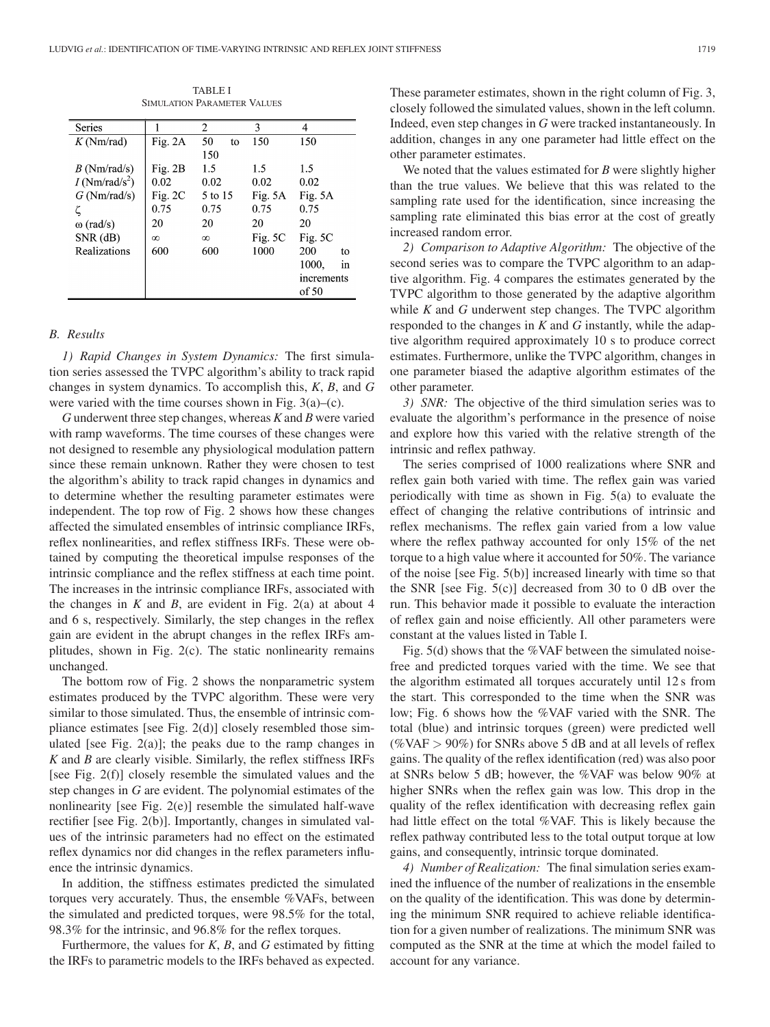TABLE I SIMULATION PARAMETER VALUES

| Series           |           | 2        | 3         | 4           |
|------------------|-----------|----------|-----------|-------------|
| K(Nm/rad)        | Fig. 2A   | 50<br>to | 150       | 150         |
|                  |           | 150      |           |             |
| B(Nm/rad/s)      | Fig. $2B$ | 1.5      | 1.5       | 1.5         |
| $I(Nm/rad/s^2)$  | 0.02      | 0.02     | 0.02      | 0.02        |
| G(Nm/rad/s)      | Fig. $2C$ | 5 to 15  | Fig. $5A$ | Fig. 5A     |
|                  | 0.75      | 0.75     | 0.75      | 0.75        |
| $\omega$ (rad/s) | 20        | 20       | 20        | 20          |
| $SNR$ (dB)       | $^\infty$ | $\infty$ | Fig. $5C$ | Fig. 5C     |
| Realizations     | 600       | 600      | 1000      | 200<br>to   |
|                  |           |          |           | 1000.<br>ın |
|                  |           |          |           | increments  |
|                  |           |          |           | of 50       |

### *B. Results*

*1) Rapid Changes in System Dynamics:* The first simulation series assessed the TVPC algorithm's ability to track rapid changes in system dynamics. To accomplish this, *K*, *B*, and *G* were varied with the time courses shown in Fig.  $3(a)$ –(c).

*G* underwent three step changes, whereas *K* and *B* were varied with ramp waveforms. The time courses of these changes were not designed to resemble any physiological modulation pattern since these remain unknown. Rather they were chosen to test the algorithm's ability to track rapid changes in dynamics and to determine whether the resulting parameter estimates were independent. The top row of Fig. 2 shows how these changes affected the simulated ensembles of intrinsic compliance IRFs, reflex nonlinearities, and reflex stiffness IRFs. These were obtained by computing the theoretical impulse responses of the intrinsic compliance and the reflex stiffness at each time point. The increases in the intrinsic compliance IRFs, associated with the changes in  $K$  and  $B$ , are evident in Fig. 2(a) at about 4 and 6 s, respectively. Similarly, the step changes in the reflex gain are evident in the abrupt changes in the reflex IRFs amplitudes, shown in Fig. 2(c). The static nonlinearity remains unchanged.

The bottom row of Fig. 2 shows the nonparametric system estimates produced by the TVPC algorithm. These were very similar to those simulated. Thus, the ensemble of intrinsic compliance estimates [see Fig. 2(d)] closely resembled those simulated [see Fig.  $2(a)$ ]; the peaks due to the ramp changes in *K* and *B* are clearly visible. Similarly, the reflex stiffness IRFs [see Fig. 2(f)] closely resemble the simulated values and the step changes in *G* are evident. The polynomial estimates of the nonlinearity [see Fig. 2(e)] resemble the simulated half-wave rectifier [see Fig. 2(b)]. Importantly, changes in simulated values of the intrinsic parameters had no effect on the estimated reflex dynamics nor did changes in the reflex parameters influence the intrinsic dynamics.

In addition, the stiffness estimates predicted the simulated torques very accurately. Thus, the ensemble %VAFs, between the simulated and predicted torques, were 98.5% for the total, 98.3% for the intrinsic, and 96.8% for the reflex torques.

Furthermore, the values for *K*, *B*, and *G* estimated by fitting the IRFs to parametric models to the IRFs behaved as expected.

These parameter estimates, shown in the right column of Fig. 3, closely followed the simulated values, shown in the left column. Indeed, even step changes in *G* were tracked instantaneously. In addition, changes in any one parameter had little effect on the other parameter estimates.

We noted that the values estimated for *B* were slightly higher than the true values. We believe that this was related to the sampling rate used for the identification, since increasing the sampling rate eliminated this bias error at the cost of greatly increased random error.

*2) Comparison to Adaptive Algorithm:* The objective of the second series was to compare the TVPC algorithm to an adaptive algorithm. Fig. 4 compares the estimates generated by the TVPC algorithm to those generated by the adaptive algorithm while *K* and *G* underwent step changes. The TVPC algorithm responded to the changes in *K* and *G* instantly, while the adaptive algorithm required approximately 10 s to produce correct estimates. Furthermore, unlike the TVPC algorithm, changes in one parameter biased the adaptive algorithm estimates of the other parameter.

*3) SNR:* The objective of the third simulation series was to evaluate the algorithm's performance in the presence of noise and explore how this varied with the relative strength of the intrinsic and reflex pathway.

The series comprised of 1000 realizations where SNR and reflex gain both varied with time. The reflex gain was varied periodically with time as shown in Fig. 5(a) to evaluate the effect of changing the relative contributions of intrinsic and reflex mechanisms. The reflex gain varied from a low value where the reflex pathway accounted for only 15% of the net torque to a high value where it accounted for 50%. The variance of the noise [see Fig. 5(b)] increased linearly with time so that the SNR [see Fig.  $5(c)$ ] decreased from 30 to 0 dB over the run. This behavior made it possible to evaluate the interaction of reflex gain and noise efficiently. All other parameters were constant at the values listed in Table I.

Fig.  $5(d)$  shows that the %VAF between the simulated noisefree and predicted torques varied with the time. We see that the algorithm estimated all torques accurately until 12 s from the start. This corresponded to the time when the SNR was low; Fig. 6 shows how the %VAF varied with the SNR. The total (blue) and intrinsic torques (green) were predicted well (%VAF  $> 90\%$ ) for SNRs above 5 dB and at all levels of reflex gains. The quality of the reflex identification (red) was also poor at SNRs below 5 dB; however, the %VAF was below 90% at higher SNRs when the reflex gain was low. This drop in the quality of the reflex identification with decreasing reflex gain had little effect on the total %VAF. This is likely because the reflex pathway contributed less to the total output torque at low gains, and consequently, intrinsic torque dominated.

*4) Number of Realization:* The final simulation series examined the influence of the number of realizations in the ensemble on the quality of the identification. This was done by determining the minimum SNR required to achieve reliable identification for a given number of realizations. The minimum SNR was computed as the SNR at the time at which the model failed to account for any variance.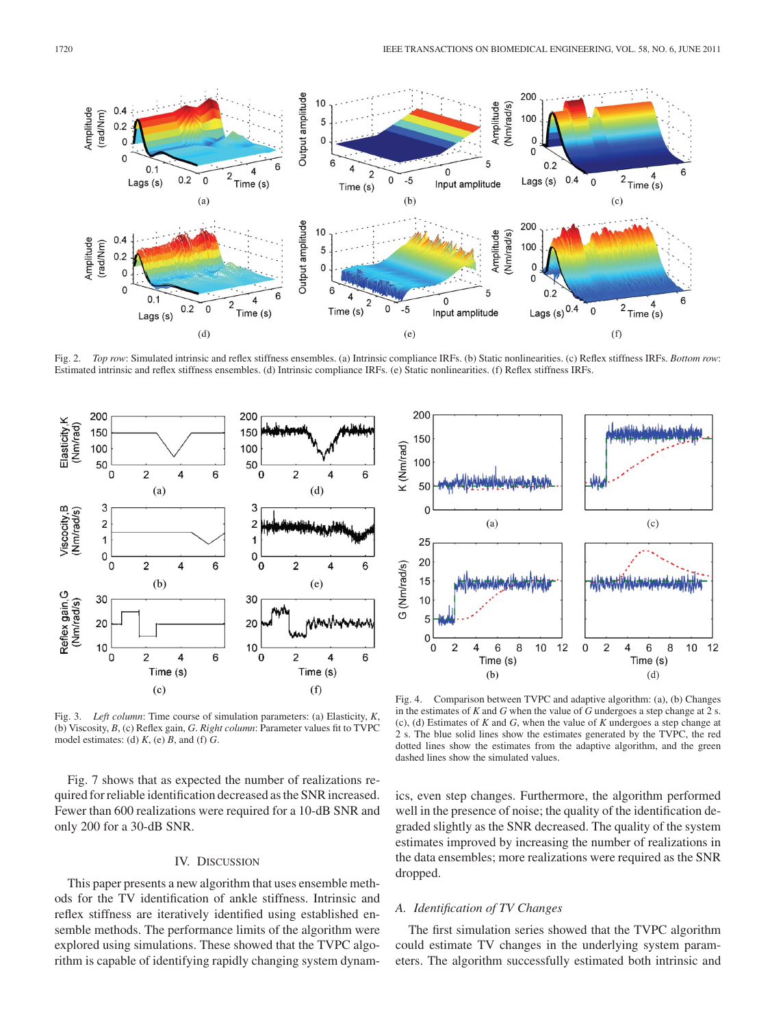

Fig. 2. *Top row*: Simulated intrinsic and reflex stiffness ensembles. (a) Intrinsic compliance IRFs. (b) Static nonlinearities. (c) Reflex stiffness IRFs. *Bottom row*: Estimated intrinsic and reflex stiffness ensembles. (d) Intrinsic compliance IRFs. (e) Static nonlinearities. (f) Reflex stiffness IRFs.



Fig. 3. *Left column*: Time course of simulation parameters: (a) Elasticity, *K*, (b) Viscosity, *B*, (c) Reflex gain, *G*. *Right column*: Parameter values fit to TVPC model estimates: (d) *K*, (e) *B*, and (f) *G*.

Fig. 7 shows that as expected the number of realizations required for reliable identification decreased as the SNR increased. Fewer than 600 realizations were required for a 10-dB SNR and only 200 for a 30-dB SNR.

# IV. DISCUSSION

This paper presents a new algorithm that uses ensemble methods for the TV identification of ankle stiffness. Intrinsic and reflex stiffness are iteratively identified using established ensemble methods. The performance limits of the algorithm were explored using simulations. These showed that the TVPC algorithm is capable of identifying rapidly changing system dynam-



Fig. 4. Comparison between TVPC and adaptive algorithm: (a), (b) Changes in the estimates of *K* and *G* when the value of *G* undergoes a step change at 2 s. (c), (d) Estimates of *K* and *G*, when the value of *K* undergoes a step change at 2 s. The blue solid lines show the estimates generated by the TVPC, the red dotted lines show the estimates from the adaptive algorithm, and the green dashed lines show the simulated values.

ics, even step changes. Furthermore, the algorithm performed well in the presence of noise; the quality of the identification degraded slightly as the SNR decreased. The quality of the system estimates improved by increasing the number of realizations in the data ensembles; more realizations were required as the SNR dropped.

## *A. Identification of TV Changes*

The first simulation series showed that the TVPC algorithm could estimate TV changes in the underlying system parameters. The algorithm successfully estimated both intrinsic and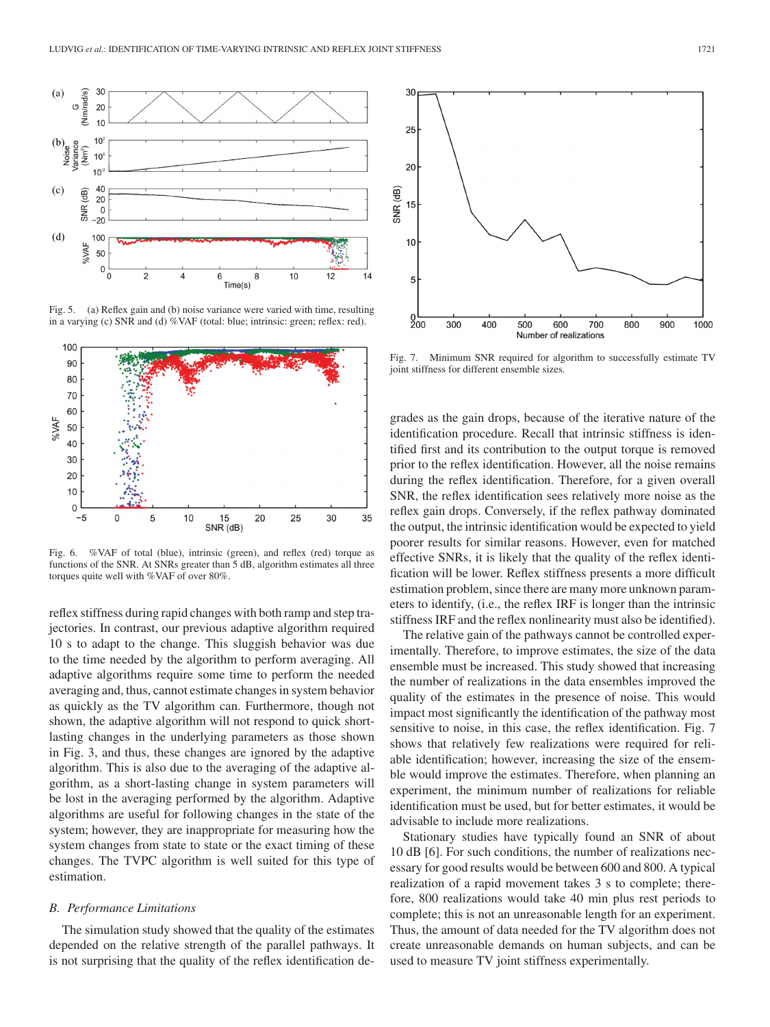

Fig. 5. (a) Reflex gain and (b) noise variance were varied with time, resulting in a varying (c) SNR and (d) %VAF (total: blue; intrinsic: green; reflex: red).



Fig. 6. %VAF of total (blue), intrinsic (green), and reflex (red) torque as functions of the SNR. At SNRs greater than 5 dB, algorithm estimates all three torques quite well with %VAF of over 80%.

reflex stiffness during rapid changes with both ramp and step trajectories. In contrast, our previous adaptive algorithm required 10 s to adapt to the change. This sluggish behavior was due to the time needed by the algorithm to perform averaging. All adaptive algorithms require some time to perform the needed averaging and, thus, cannot estimate changes in system behavior as quickly as the TV algorithm can. Furthermore, though not shown, the adaptive algorithm will not respond to quick shortlasting changes in the underlying parameters as those shown in Fig. 3, and thus, these changes are ignored by the adaptive algorithm. This is also due to the averaging of the adaptive algorithm, as a short-lasting change in system parameters will be lost in the averaging performed by the algorithm. Adaptive algorithms are useful for following changes in the state of the system; however, they are inappropriate for measuring how the system changes from state to state or the exact timing of these changes. The TVPC algorithm is well suited for this type of estimation.

#### *B. Performance Limitations*

The simulation study showed that the quality of the estimates depended on the relative strength of the parallel pathways. It is not surprising that the quality of the reflex identification de-



Fig. 7. Minimum SNR required for algorithm to successfully estimate TV joint stiffness for different ensemble sizes.

grades as the gain drops, because of the iterative nature of the identification procedure. Recall that intrinsic stiffness is identified first and its contribution to the output torque is removed prior to the reflex identification. However, all the noise remains during the reflex identification. Therefore, for a given overall SNR, the reflex identification sees relatively more noise as the reflex gain drops. Conversely, if the reflex pathway dominated the output, the intrinsic identification would be expected to yield poorer results for similar reasons. However, even for matched effective SNRs, it is likely that the quality of the reflex identification will be lower. Reflex stiffness presents a more difficult estimation problem, since there are many more unknown parameters to identify, (i.e., the reflex IRF is longer than the intrinsic stiffness IRF and the reflex nonlinearity must also be identified).

The relative gain of the pathways cannot be controlled experimentally. Therefore, to improve estimates, the size of the data ensemble must be increased. This study showed that increasing the number of realizations in the data ensembles improved the quality of the estimates in the presence of noise. This would impact most significantly the identification of the pathway most sensitive to noise, in this case, the reflex identification. Fig. 7 shows that relatively few realizations were required for reliable identification; however, increasing the size of the ensemble would improve the estimates. Therefore, when planning an experiment, the minimum number of realizations for reliable identification must be used, but for better estimates, it would be advisable to include more realizations.

Stationary studies have typically found an SNR of about 10 dB [6]. For such conditions, the number of realizations necessary for good results would be between 600 and 800. A typical realization of a rapid movement takes 3 s to complete; therefore, 800 realizations would take 40 min plus rest periods to complete; this is not an unreasonable length for an experiment. Thus, the amount of data needed for the TV algorithm does not create unreasonable demands on human subjects, and can be used to measure TV joint stiffness experimentally.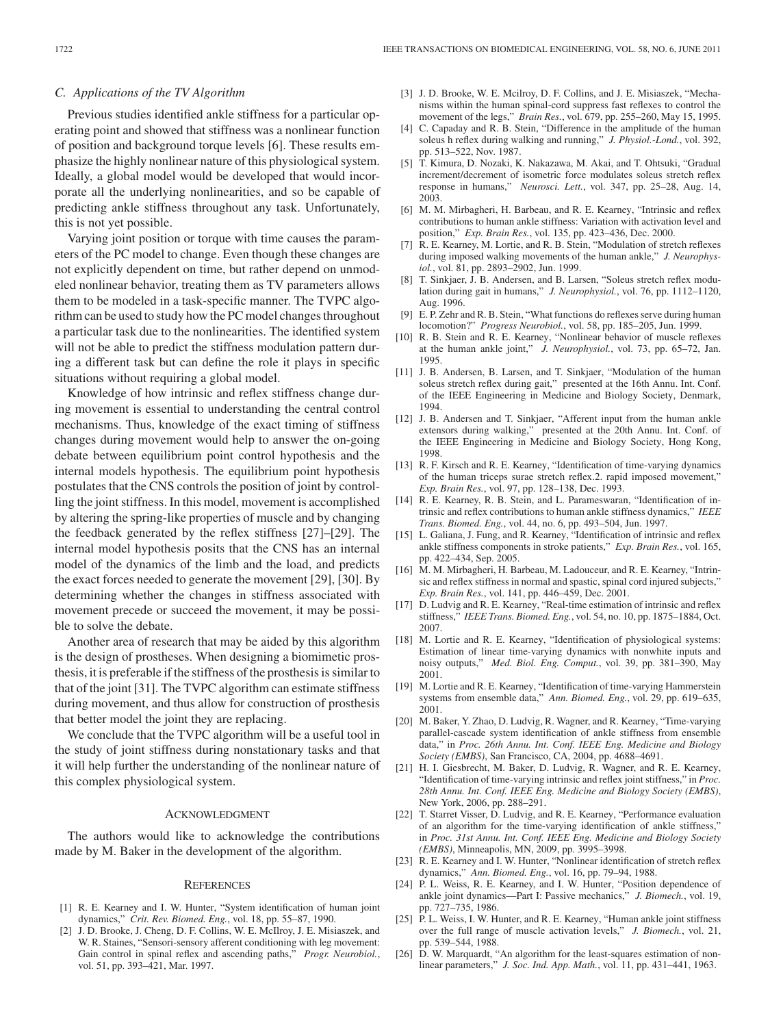## *C. Applications of the TV Algorithm*

Previous studies identified ankle stiffness for a particular operating point and showed that stiffness was a nonlinear function of position and background torque levels [6]. These results emphasize the highly nonlinear nature of this physiological system. Ideally, a global model would be developed that would incorporate all the underlying nonlinearities, and so be capable of predicting ankle stiffness throughout any task. Unfortunately, this is not yet possible.

Varying joint position or torque with time causes the parameters of the PC model to change. Even though these changes are not explicitly dependent on time, but rather depend on unmodeled nonlinear behavior, treating them as TV parameters allows them to be modeled in a task-specific manner. The TVPC algorithm can be used to study how the PC model changes throughout a particular task due to the nonlinearities. The identified system will not be able to predict the stiffness modulation pattern during a different task but can define the role it plays in specific situations without requiring a global model.

Knowledge of how intrinsic and reflex stiffness change during movement is essential to understanding the central control mechanisms. Thus, knowledge of the exact timing of stiffness changes during movement would help to answer the on-going debate between equilibrium point control hypothesis and the internal models hypothesis. The equilibrium point hypothesis postulates that the CNS controls the position of joint by controlling the joint stiffness. In this model, movement is accomplished by altering the spring-like properties of muscle and by changing the feedback generated by the reflex stiffness [27]–[29]. The internal model hypothesis posits that the CNS has an internal model of the dynamics of the limb and the load, and predicts the exact forces needed to generate the movement [29], [30]. By determining whether the changes in stiffness associated with movement precede or succeed the movement, it may be possible to solve the debate.

Another area of research that may be aided by this algorithm is the design of prostheses. When designing a biomimetic prosthesis, it is preferable if the stiffness of the prosthesis is similar to that of the joint [31]. The TVPC algorithm can estimate stiffness during movement, and thus allow for construction of prosthesis that better model the joint they are replacing.

We conclude that the TVPC algorithm will be a useful tool in the study of joint stiffness during nonstationary tasks and that it will help further the understanding of the nonlinear nature of this complex physiological system.

#### ACKNOWLEDGMENT

The authors would like to acknowledge the contributions made by M. Baker in the development of the algorithm.

#### **REFERENCES**

- [1] R. E. Kearney and I. W. Hunter, "System identification of human joint dynamics," *Crit. Rev. Biomed. Eng.*, vol. 18, pp. 55–87, 1990.
- J. D. Brooke, J. Cheng, D. F. Collins, W. E. McIlroy, J. E. Misiaszek, and W. R. Staines, "Sensori-sensory afferent conditioning with leg movement: Gain control in spinal reflex and ascending paths," *Progr. Neurobiol.*, vol. 51, pp. 393–421, Mar. 1997.
- [3] J. D. Brooke, W. E. Mcilroy, D. F. Collins, and J. E. Misiaszek, "Mechanisms within the human spinal-cord suppress fast reflexes to control the movement of the legs," *Brain Res.*, vol. 679, pp. 255–260, May 15, 1995.
- [4] C. Capaday and R. B. Stein, "Difference in the amplitude of the human soleus h reflex during walking and running," *J. Physiol.-Lond.*, vol. 392, pp. 513–522, Nov. 1987.
- [5] T. Kimura, D. Nozaki, K. Nakazawa, M. Akai, and T. Ohtsuki, "Gradual increment/decrement of isometric force modulates soleus stretch reflex response in humans," *Neurosci. Lett.*, vol. 347, pp. 25–28, Aug. 14, 2003.
- [6] M. M. Mirbagheri, H. Barbeau, and R. E. Kearney, "Intrinsic and reflex contributions to human ankle stiffness: Variation with activation level and position," *Exp. Brain Res.*, vol. 135, pp. 423–436, Dec. 2000.
- [7] R. E. Kearney, M. Lortie, and R. B. Stein, "Modulation of stretch reflexes during imposed walking movements of the human ankle," *J. Neurophysiol.*, vol. 81, pp. 2893–2902, Jun. 1999.
- [8] T. Sinkjaer, J. B. Andersen, and B. Larsen, "Soleus stretch reflex modulation during gait in humans," *J. Neurophysiol.*, vol. 76, pp. 1112–1120, Aug. 1996.
- [9] E. P. Zehr and R. B. Stein, "What functions do reflexes serve during human locomotion?" *Progress Neurobiol.*, vol. 58, pp. 185–205, Jun. 1999.
- [10] R. B. Stein and R. E. Kearney, "Nonlinear behavior of muscle reflexes at the human ankle joint," *J. Neurophysiol.*, vol. 73, pp. 65–72, Jan. 1995.
- [11] J. B. Andersen, B. Larsen, and T. Sinkjaer, "Modulation of the human soleus stretch reflex during gait," presented at the 16th Annu. Int. Conf. of the IEEE Engineering in Medicine and Biology Society, Denmark, 1994.
- [12] J. B. Andersen and T. Sinkjaer, "Afferent input from the human ankle extensors during walking," presented at the 20th Annu. Int. Conf. of the IEEE Engineering in Medicine and Biology Society, Hong Kong, 1998.
- [13] R. F. Kirsch and R. E. Kearney, "Identification of time-varying dynamics of the human triceps surae stretch reflex.2. rapid imposed movement," *Exp. Brain Res.*, vol. 97, pp. 128–138, Dec. 1993.
- [14] R. E. Kearney, R. B. Stein, and L. Parameswaran, "Identification of intrinsic and reflex contributions to human ankle stiffness dynamics," *IEEE Trans. Biomed. Eng.*, vol. 44, no. 6, pp. 493–504, Jun. 1997.
- [15] L. Galiana, J. Fung, and R. Kearney, "Identification of intrinsic and reflex ankle stiffness components in stroke patients," *Exp. Brain Res.*, vol. 165, pp. 422–434, Sep. 2005.
- [16] M. M. Mirbagheri, H. Barbeau, M. Ladouceur, and R. E. Kearney, "Intrinsic and reflex stiffness in normal and spastic, spinal cord injured subjects," *Exp. Brain Res.*, vol. 141, pp. 446–459, Dec. 2001.
- [17] D. Ludvig and R. E. Kearney, "Real-time estimation of intrinsic and reflex stiffness," *IEEE Trans. Biomed. Eng.*, vol. 54, no. 10, pp. 1875–1884, Oct. 2007.
- [18] M. Lortie and R. E. Kearney, "Identification of physiological systems: Estimation of linear time-varying dynamics with nonwhite inputs and noisy outputs," *Med. Biol. Eng. Comput.*, vol. 39, pp. 381–390, May 2001.
- [19] M. Lortie and R. E. Kearney, "Identification of time-varying Hammerstein systems from ensemble data," *Ann. Biomed. Eng.*, vol. 29, pp. 619–635, 2001.
- [20] M. Baker, Y. Zhao, D. Ludvig, R. Wagner, and R. Kearney, "Time-varying parallel-cascade system identification of ankle stiffness from ensemble data," in *Proc. 26th Annu. Int. Conf. IEEE Eng. Medicine and Biology Society (EMBS)*, San Francisco, CA, 2004, pp. 4688–4691.
- [21] H. I. Giesbrecht, M. Baker, D. Ludvig, R. Wagner, and R. E. Kearney, "Identification of time-varying intrinsic and reflex joint stiffness," in *Proc. 28th Annu. Int. Conf. IEEE Eng. Medicine and Biology Society (EMBS)*, New York, 2006, pp. 288–291.
- [22] T. Starret Visser, D. Ludvig, and R. E. Kearney, "Performance evaluation of an algorithm for the time-varying identification of ankle stiffness," in *Proc. 31st Annu. Int. Conf. IEEE Eng. Medicine and Biology Society (EMBS)*, Minneapolis, MN, 2009, pp. 3995–3998.
- [23] R. E. Kearney and I. W. Hunter, "Nonlinear identification of stretch reflex dynamics," *Ann. Biomed. Eng.*, vol. 16, pp. 79–94, 1988.
- [24] P. L. Weiss, R. E. Kearney, and I. W. Hunter, "Position dependence of ankle joint dynamics—Part I: Passive mechanics," *J. Biomech.*, vol. 19, pp. 727–735, 1986.
- [25] P. L. Weiss, I. W. Hunter, and R. E. Kearney, "Human ankle joint stiffness over the full range of muscle activation levels," *J. Biomech.*, vol. 21, pp. 539–544, 1988.
- [26] D. W. Marquardt, "An algorithm for the least-squares estimation of nonlinear parameters," *J. Soc. Ind. App. Math.*, vol. 11, pp. 431–441, 1963.